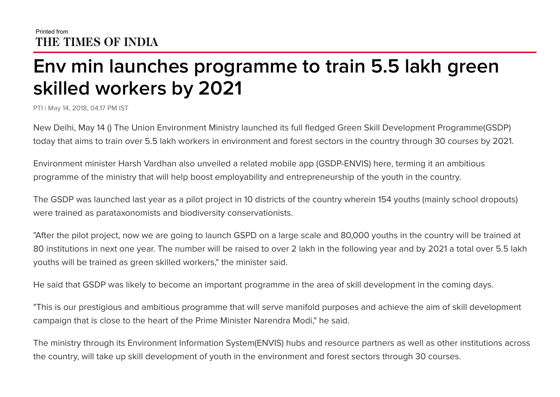## Printed from THE TIMES OF INDIA

## **Env min launches programme to train 5.5 lakh green skilled workers by 2021**

PTI | May 14, 2018, 04.17 PM IST

New Delhi, May 14 () The Union Environment Ministry launched its full fledged Green Skill Development Programme(GSDP) today that aims to train over 5.5 lakh workers in environment and forest sectors in the country through 30 courses by 2021.

Environment minister Harsh Vardhan also unveiled a related mobile app (GSDP-ENVIS) here, terming it an ambitious programme of the ministry that will help boost employability and entrepreneurship of the youth in the country.

The GSDP was launched last year as a pilot project in 10 districts of the country wherein 154 youths (mainly school dropouts) were trained as parataxonomists and biodiversity conservationists.

"After the pilot project, now we are going to launch GSPD on a large scale and 80,000 youths in the country will be trained at 80 institutions in next one year. The number will be raised to over 2 lakh in the following year and by 2021 a total over 5.5 lakh youths will be trained as green skilled workers," the minister said.

He said that GSDP was likely to become an important programme in the area of skill development in the coming days.

"This is our prestigious and ambitious programme that will serve manifold purposes and achieve the aim of skill development campaign that is close to the heart of the Prime Minister Narendra Modi," he said.

The ministry through its Environment Information System(ENVIS) hubs and resource partners as well as other institutions across the country, will take up skill development of youth in the environment and forest sectors through 30 courses.